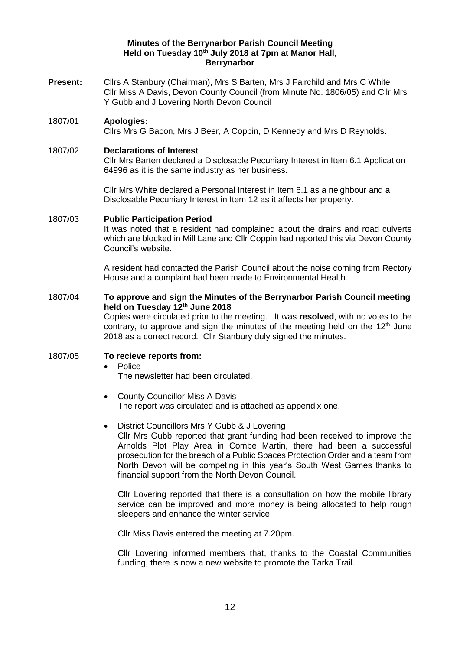## **Minutes of the Berrynarbor Parish Council Meeting Held on Tuesday 10th July 2018 at 7pm at Manor Hall, Berrynarbor**

- **Present:** Cllrs A Stanbury (Chairman), Mrs S Barten, Mrs J Fairchild and Mrs C White Cllr Miss A Davis, Devon County Council (from Minute No. 1806/05) and Cllr Mrs Y Gubb and J Lovering North Devon Council
- 1807/01 **Apologies:**

Cllrs Mrs G Bacon, Mrs J Beer, A Coppin, D Kennedy and Mrs D Reynolds.

## 1807/02 **Declarations of Interest**

Cllr Mrs Barten declared a Disclosable Pecuniary Interest in Item 6.1 Application 64996 as it is the same industry as her business.

Cllr Mrs White declared a Personal Interest in Item 6.1 as a neighbour and a Disclosable Pecuniary Interest in Item 12 as it affects her property.

## 1807/03 **Public Participation Period**

It was noted that a resident had complained about the drains and road culverts which are blocked in Mill Lane and Cllr Coppin had reported this via Devon County Council's website.

A resident had contacted the Parish Council about the noise coming from Rectory House and a complaint had been made to Environmental Health.

## 1807/04 **To approve and sign the Minutes of the Berrynarbor Parish Council meeting held on Tuesday 12th June 2018**

Copies were circulated prior to the meeting. It was **resolved**, with no votes to the contrary, to approve and sign the minutes of the meeting held on the  $12<sup>th</sup>$  June 2018 as a correct record. Cllr Stanbury duly signed the minutes.

## 1807/05 **To recieve reports from:**

- Police
	- The newsletter had been circulated.
- County Councillor Miss A Davis The report was circulated and is attached as appendix one.
- District Councillors Mrs Y Gubb & J Lovering Cllr Mrs Gubb reported that grant funding had been received to improve the Arnolds Plot Play Area in Combe Martin, there had been a successful prosecution for the breach of a Public Spaces Protection Order and a team from North Devon will be competing in this year's South West Games thanks to financial support from the North Devon Council.

Cllr Lovering reported that there is a consultation on how the mobile library service can be improved and more money is being allocated to help rough sleepers and enhance the winter service.

Cllr Miss Davis entered the meeting at 7.20pm.

Cllr Lovering informed members that, thanks to the Coastal Communities funding, there is now a new website to promote the Tarka Trail.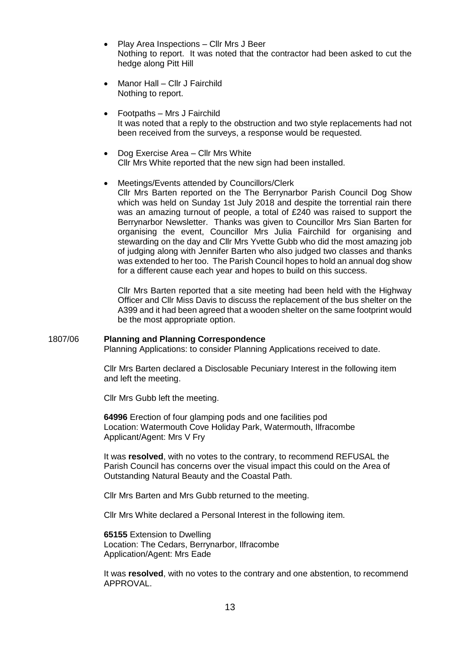- Play Area Inspections Cllr Mrs J Beer Nothing to report. It was noted that the contractor had been asked to cut the hedge along Pitt Hill
- Manor Hall Cllr J Fairchild Nothing to report.
- Footpaths Mrs J Fairchild It was noted that a reply to the obstruction and two style replacements had not been received from the surveys, a response would be requested.
- Dog Exercise Area Cllr Mrs White Cllr Mrs White reported that the new sign had been installed.
- Meetings/Events attended by Councillors/Clerk Cllr Mrs Barten reported on the The Berrynarbor Parish Council Dog Show which was held on Sunday 1st July 2018 and despite the torrential rain there was an amazing turnout of people, a total of £240 was raised to support the Berrynarbor Newsletter. Thanks was given to Councillor Mrs Sian Barten for organising the event, Councillor Mrs Julia Fairchild for organising and stewarding on the day and Cllr Mrs Yvette Gubb who did the most amazing job of judging along with Jennifer Barten who also judged two classes and thanks was extended to her too. The Parish Council hopes to hold an annual dog show for a different cause each year and hopes to build on this success.

Cllr Mrs Barten reported that a site meeting had been held with the Highway Officer and Cllr Miss Davis to discuss the replacement of the bus shelter on the A399 and it had been agreed that a wooden shelter on the same footprint would be the most appropriate option.

### 1807/06 **Planning and Planning Correspondence**

Planning Applications: to consider Planning Applications received to date.

Cllr Mrs Barten declared a Disclosable Pecuniary Interest in the following item and left the meeting.

Cllr Mrs Gubb left the meeting.

**64996** Erection of four glamping pods and one facilities pod Location: Watermouth Cove Holiday Park, Watermouth, Ilfracombe Applicant/Agent: Mrs V Fry

It was **resolved**, with no votes to the contrary, to recommend REFUSAL the Parish Council has concerns over the visual impact this could on the Area of Outstanding Natural Beauty and the Coastal Path.

Cllr Mrs Barten and Mrs Gubb returned to the meeting.

Cllr Mrs White declared a Personal Interest in the following item.

**65155** Extension to Dwelling Location: The Cedars, Berrynarbor, Ilfracombe Application/Agent: Mrs Eade

It was **resolved**, with no votes to the contrary and one abstention, to recommend APPROVAL.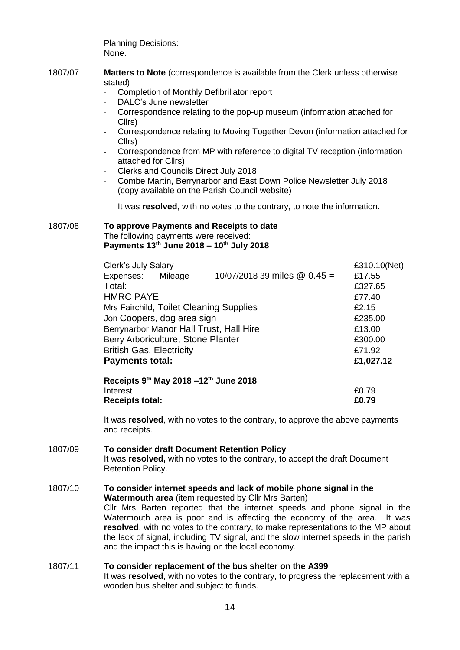Planning Decisions: None.

- 1807/07 **Matters to Note** (correspondence is available from the Clerk unless otherwise stated)
	- Completion of Monthly Defibrillator report
	- DALC's June newsletter
	- Correspondence relating to the pop-up museum (information attached for Cllrs)
	- Correspondence relating to Moving Together Devon (information attached for Cllrs)
	- Correspondence from MP with reference to digital TV reception (information attached for Cllrs)
	- Clerks and Councils Direct July 2018
	- Combe Martin, Berrynarbor and East Down Police Newsletter July 2018 (copy available on the Parish Council website)

It was **resolved**, with no votes to the contrary, to note the information.

#### 1807/08 **To approve Payments and Receipts to date**  The following payments were received:

**Payments 13th June 2018 – 10th July 2018** 

| Clerk's July Salary                                 |           |                                | £310.10(Net) |
|-----------------------------------------------------|-----------|--------------------------------|--------------|
| Expenses:                                           | Mileage   | 10/07/2018 39 miles $@$ 0.45 = | £17.55       |
| Total:                                              |           |                                | £327.65      |
| <b>HMRC PAYE</b>                                    |           |                                | £77.40       |
| Mrs Fairchild, Toilet Cleaning Supplies             | £2.15     |                                |              |
| Jon Coopers, dog area sign                          | £235.00   |                                |              |
| Berrynarbor Manor Hall Trust, Hall Hire             | £13.00    |                                |              |
| Berry Arboriculture, Stone Planter                  | £300.00   |                                |              |
| <b>British Gas, Electricity</b>                     | £71.92    |                                |              |
| <b>Payments total:</b>                              | £1,027.12 |                                |              |
| Receipts $9th$ May 2018 -12 <sup>th</sup> June 2018 |           |                                |              |

| Interest               | £0.79 |
|------------------------|-------|
| <b>Receipts total:</b> | £0.79 |

It was **resolved**, with no votes to the contrary, to approve the above payments and receipts.

# 1807/09 **To consider draft Document Retention Policy**

It was **resolved,** with no votes to the contrary, to accept the draft Document Retention Policy.

### 1807/10 **To consider internet speeds and lack of mobile phone signal in the Watermouth area** (item requested by Cllr Mrs Barten) Cllr Mrs Barten reported that the internet speeds and phone signal in the Watermouth area is poor and is affecting the economy of the area. It was **resolved**, with no votes to the contrary, to make representations to the MP about the lack of signal, including TV signal, and the slow internet speeds in the parish

and the impact this is having on the local economy.

# 1807/11 **To consider replacement of the bus shelter on the A399**  It was **resolved**, with no votes to the contrary, to progress the replacement with a wooden bus shelter and subject to funds.